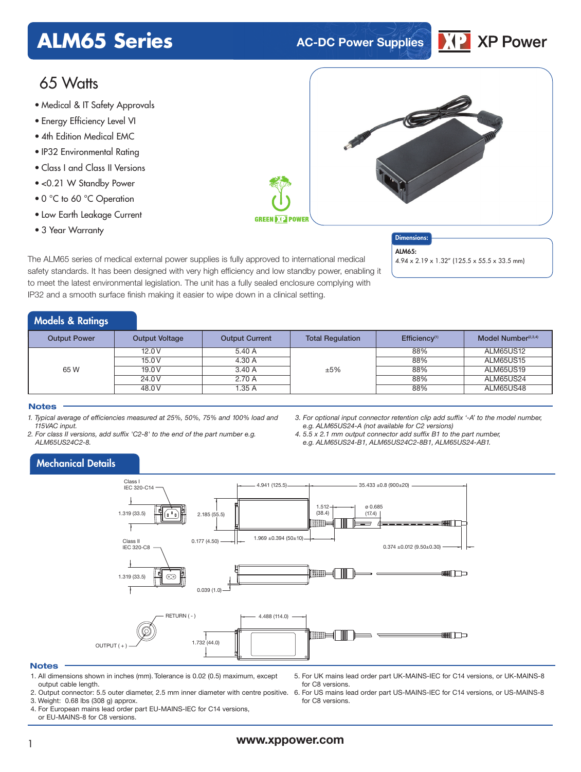## **ALM65 Series AC-DC Power Supplies**



### 65 Watts

- Medical & IT Safety Approvals
- Energy Efficiency Level VI
- 4th Edition Medical EMC
- IP32 Environmental Rating
- Class I and Class II Versions
- <0.21 W Standby Power
- 0 °C to 60 °C Operation
- Low Earth Leakage Current
- 3 Year Warranty

**GREEN DEPT POWER** 

Dimensions: ALM65-

4.94 x 2.19 x 1.32" (125.5 x 55.5 x 33.5 mm)

The ALM65 series of medical external power supplies is fully approved to international medical safety standards. It has been designed with very high efficiency and low standby power, enabling it to meet the latest environmental legislation. The unit has a fully sealed enclosure complying with IP32 and a smooth surface finish making it easier to wipe down in a clinical setting.

### Models & Ratings

| <b>Output Power</b> | <b>Output Voltage</b> | <b>Output Current</b> | <b>Total Regulation</b> | Efficiency <sup>(1)</sup> | Model Number <sup>(2,3,4)</sup> |
|---------------------|-----------------------|-----------------------|-------------------------|---------------------------|---------------------------------|
| 65 W                | 12.0V                 | 5.40 A                |                         | 88%                       | ALM65US12                       |
|                     | 15.0V                 | 4.30 A                |                         | 88%                       | ALM65US15                       |
|                     | 19.0V                 | 3.40 A                | ±5%                     | 88%                       | <b>ALM65US19</b>                |
|                     | 24.0 V                | 2.70 A                |                         | 88%                       | ALM65US24                       |
|                     | 48.0 V                | 1.35 A                |                         | 88%                       | ALM65US48                       |

### **Notes**

- *1. Typical average of efficiencies measured at 25%, 50%, 75% and 100% load and 115VAC input.*
- *2. For class II versions, add suffix 'C2-8' to the end of the part number e.g. ALM65US24C2-8.*
- *3. For optional input connector retention clip add suffix '-A' to the model number, e.g. ALM65US24-A (not available for C2 versions)*
- *4. 5.5 x 2.1 mm output connector add suffix B1 to the part number, e.g. ALM65US24-B1, ALM65US24C2-8B1, ALM65US24-AB1.*

### Mechanical Details



### **Notes**

- 1. All dimensions shown in inches (mm). Tolerance is 0.02 (0.5) maximum, except output cable length.
- 2. Output connector: 5.5 outer diameter, 2.5 mm inner diameter with centre positive. 6. For US mains lead order part US-MAINS-IEC for C14 versions, or US-MAINS-8
- 3. Weight: 0.68 lbs (308 g) approx. 4. For European mains lead order part EU-MAINS-IEC for C14 versions,
- or EU-MAINS-8 for C8 versions.
- 5. For UK mains lead order part UK-MAINS-IEC for C14 versions, or UK-MAINS-8 for C8 versions.
- for C8 versions.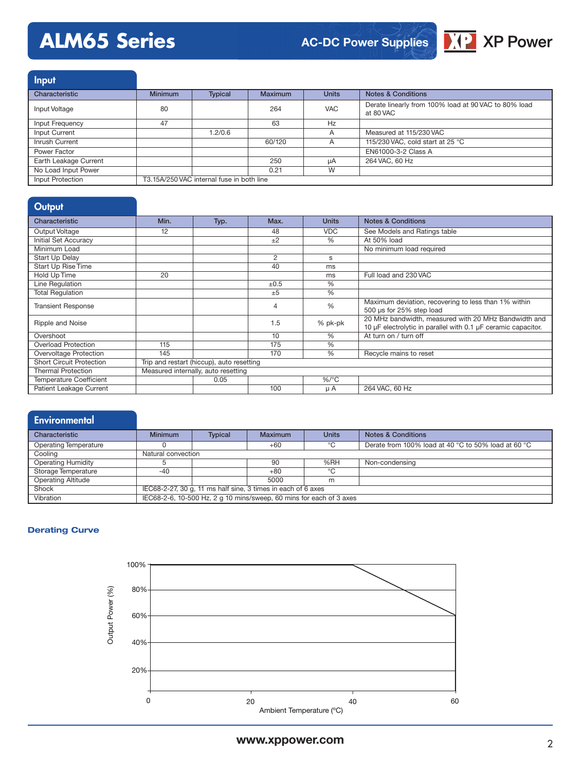# **ALM65 Series**

### **AC-DC Power Supplies**



| <b>Input</b>          |                                           |                |                |              |                                                                   |
|-----------------------|-------------------------------------------|----------------|----------------|--------------|-------------------------------------------------------------------|
| Characteristic        | <b>Minimum</b>                            | <b>Typical</b> | <b>Maximum</b> | <b>Units</b> | Notes & Conditions                                                |
| Input Voltage         | 80                                        |                | 264            | <b>VAC</b>   | Derate linearly from 100% load at 90 VAC to 80% load<br>at 80 VAC |
| Input Frequency       | 47                                        |                | 63             | Hz           |                                                                   |
| Input Current         |                                           | 1.2/0.6        |                | A            | Measured at 115/230 VAC                                           |
| Inrush Current        |                                           |                | 60/120         | A            | 115/230 VAC, cold start at 25 °C                                  |
| Power Factor          |                                           |                |                |              | EN61000-3-2 Class A                                               |
| Earth Leakage Current |                                           |                | 250            | uA           | 264 VAC, 60 Hz                                                    |
| No Load Input Power   |                                           |                | 0.21           | W            |                                                                   |
| Input Protection      | T3.15A/250 VAC internal fuse in both line |                |                |              |                                                                   |

### **Output**

| Characteristic                  | Min.                                      |      | Max.      | <b>Units</b>  | <b>Notes &amp; Conditions</b>                                                                                         |  |
|---------------------------------|-------------------------------------------|------|-----------|---------------|-----------------------------------------------------------------------------------------------------------------------|--|
|                                 |                                           | Typ. |           |               |                                                                                                                       |  |
| Output Voltage                  | 12                                        |      | 48        | <b>VDC</b>    | See Models and Ratings table                                                                                          |  |
| Initial Set Accuracy            |                                           |      | ±2        | $\%$          | At 50% load                                                                                                           |  |
| Minimum Load                    |                                           |      |           |               | No minimum load required                                                                                              |  |
| Start Up Delay                  |                                           |      | 2         | s             |                                                                                                                       |  |
| <b>Start Up Rise Time</b>       |                                           |      | 40        | ms            |                                                                                                                       |  |
| Hold Up Time                    | 20                                        |      |           | ms            | Full load and 230 VAC                                                                                                 |  |
| Line Regulation                 |                                           |      | $\pm 0.5$ | %             |                                                                                                                       |  |
| <b>Total Regulation</b>         |                                           |      | $+5$      | $\frac{0}{0}$ |                                                                                                                       |  |
| <b>Transient Response</b>       |                                           |      | 4         | %             | Maximum deviation, recovering to less than 1% within<br>500 µs for 25% step load                                      |  |
| Ripple and Noise                |                                           |      | 1.5       | % pk-pk       | 20 MHz bandwidth, measured with 20 MHz Bandwidth and<br>10 µF electrolytic in parallel with 0.1 µF ceramic capacitor. |  |
| Overshoot                       |                                           |      | 10        | %             | At turn on / turn off                                                                                                 |  |
| <b>Overload Protection</b>      | 115                                       |      | 175       | $\%$          |                                                                                                                       |  |
| Overvoltage Protection          | 145                                       |      | 170       | $\%$          | Recycle mains to reset                                                                                                |  |
| <b>Short Circuit Protection</b> | Trip and restart (hiccup), auto resetting |      |           |               |                                                                                                                       |  |
| <b>Thermal Protection</b>       | Measured internally, auto resetting       |      |           |               |                                                                                                                       |  |
| <b>Temperature Coefficient</b>  |                                           | 0.05 |           | $%$ /°C       |                                                                                                                       |  |
| Patient Leakage Current         |                                           |      | 100       | μA            | 264 VAC, 60 Hz                                                                                                        |  |

### **Environmental** Characteristic **Minimum Typical Maximum Units Notes & Conditions** Operating Temperature 0 0 +60  $\degree$ C Derate from 100% load at 40 °C to 50% load at 60 °C<br>Cooling Natural convection Natural convection

| Operating Humidity        |                                                                     |  | 90   | %RH | Non-condensing |  |  |
|---------------------------|---------------------------------------------------------------------|--|------|-----|----------------|--|--|
| Storage Temperature       | -40                                                                 |  | +80  |     |                |  |  |
| <b>Operating Altitude</b> |                                                                     |  | 5000 | m   |                |  |  |
| Shock                     | IEC68-2-27, 30 g, 11 ms half sine, 3 times in each of 6 axes        |  |      |     |                |  |  |
| Vibration                 | IEC68-2-6, 10-500 Hz, 2 g 10 mins/sweep, 60 mins for each of 3 axes |  |      |     |                |  |  |

### **Derating Curve**

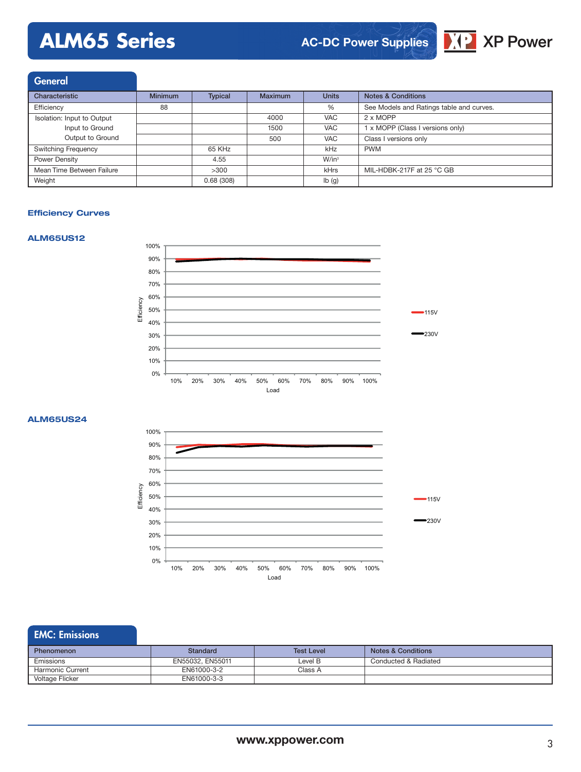# **ALM65 Series**

### **AC-DC Power Supplies**



| <b>General</b>             |                |                |         |              |                                          |
|----------------------------|----------------|----------------|---------|--------------|------------------------------------------|
| Characteristic             | <b>Minimum</b> | <b>Typical</b> | Maximum | <b>Units</b> | <b>Notes &amp; Conditions</b>            |
| Efficiency                 | 88             |                |         | %            | See Models and Ratings table and curves. |
| Isolation: Input to Output |                |                | 4000    | <b>VAC</b>   | 2 x MOPP                                 |
| Input to Ground            |                |                | 1500    | <b>VAC</b>   | 1 x MOPP (Class I versions only)         |
| Output to Ground           |                |                | 500     | <b>VAC</b>   | Class I versions only                    |
| Switching Frequency        |                | 65 KHz         |         | kHz          | <b>PWM</b>                               |
| Power Density              |                | 4.55           |         | $W/in^3$     |                                          |
| Mean Time Between Failure  |                | >300           |         | kHrs         | MIL-HDBK-217F at 25 °C GB                |
| Weight                     |                | 0.68(308)      |         | lb(g)        |                                          |

### **Efficiency Curves**





#### **ALM65US24**



### EMC: Emissions

| <b>Phenomenon</b> | Standard         | <b>Test Level</b> | Notes & Conditions   |
|-------------------|------------------|-------------------|----------------------|
| Emissions         | EN55032, EN55011 | Level B           | Conducted & Radiated |
| Harmonic Current  | EN61000-3-2      | Class A           |                      |
| Voltage Flicker   | EN61000-3-3      |                   |                      |